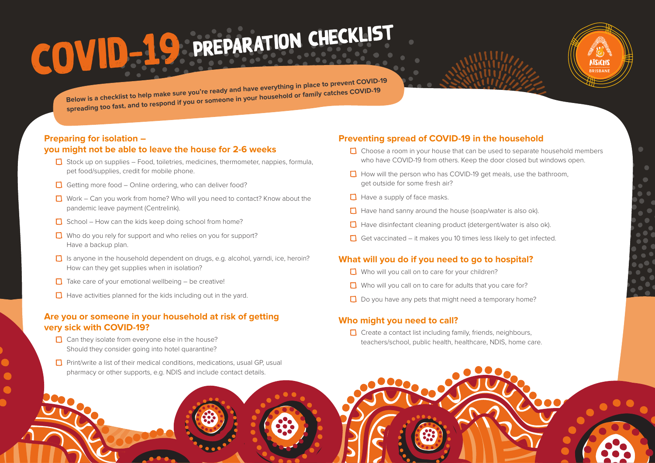# COVID-19 PREPARATION CHECKLIST



**Below is a checklist to help make sure you're ready and have everything in place to prevent COVID-19 spreading too fast, and to respond if you or someone in your household or family catches COVID-19**

#### **Preparing for isolation – you might not be able to leave the house for 2-6 weeks**

- $\Box$  Stock up on supplies Food, toiletries, medicines, thermometer, nappies, formula, pet food/supplies, credit for mobile phone.
- $\Box$  Getting more food Online ordering, who can deliver food?
- $\Box$  Work Can you work from home? Who will you need to contact? Know about the pandemic leave payment (Centrelink).
- $\Box$  School How can the kids keep doing school from home?
- $\Box$  Who do you rely for support and who relies on you for support? Have a backup plan.
- $\Box$  Is anyone in the household dependent on drugs, e.g. alcohol, yarndi, ice, heroin? How can they get supplies when in isolation?
- $\Box$  Take care of your emotional wellbeing be creative!
- $\Box$  Have activities planned for the kids including out in the yard.

#### **Are you or someone in your household at risk of getting very sick with COVID-19?**

- $\Box$  Can they isolate from everyone else in the house? Should they consider going into hotel quarantine?
- $\Box$  Print/write a list of their medical conditions, medications, usual GP, usual pharmacy or other supports, e.g. NDIS and include contact details.

#### **Preventing spread of COVID-19 in the household**

- $\Box$  Choose a room in your house that can be used to separate household members who have COVID-19 from others. Keep the door closed but windows open.
- $\Box$  How will the person who has COVID-19 get meals, use the bathroom, get outside for some fresh air?
- $\Box$  Have a supply of face masks.
- $\Box$  Have hand sanny around the house (soap/water is also ok).
- $\Box$  Have disinfectant cleaning product (detergent/water is also ok).
- Get vaccinated it makes you 10 times less likely to get infected.

#### **What will you do if you need to go to hospital?**

- $\Box$  Who will you call on to care for your children?
- $\Box$  Who will you call on to care for adults that you care for?
- $\Box$  Do you have any pets that might need a temporary home?

#### **Who might you need to call?**

 $\Box$  Create a contact list including family, friends, neighbours, teachers/school, public health, healthcare, NDIS, home care.